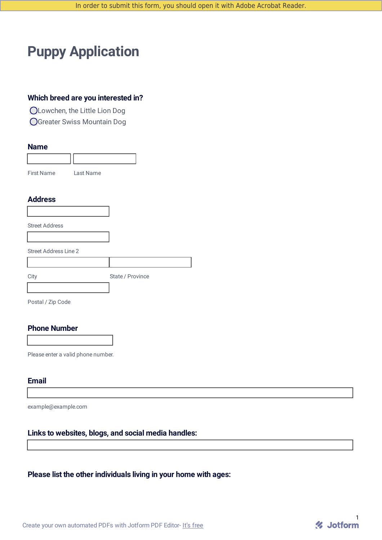# **Puppy Application**

#### **Which breed are you interested in?**

Lowchen, the Little Lion Dog

Greater Swiss Mountain Dog

#### **Name**

| First Name | Last Name |  |
|------------|-----------|--|

#### **Address**

Street Address

Street Address Line 2

| City | State / Province |
|------|------------------|

Postal / Zip Code

#### **Phone Number**

Please enter a valid phone number.

#### **Email**

example@example.com

#### **Links to websites, blogs, and social media handles:**

#### **Please list the other individuals living in your home with ages:**

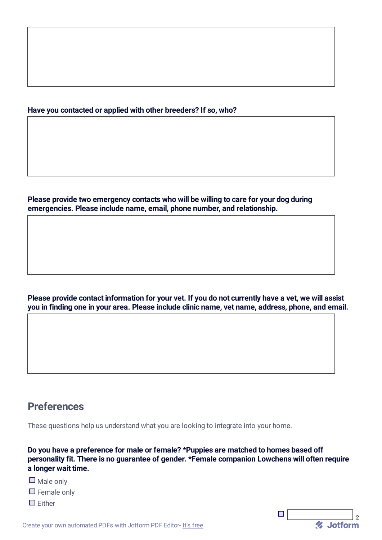#### **Have you contacted or applied with other breeders? If so, who?**

**Please provide two emergency contacts who will be willing to care for your dog during emergencies. Please include name, email, phone number, and relationship.**

Please provide contact information for your vet. If you do not currently have a vet, we will assist **you in finding one in your area. Please include clinic name, vet name, address, phone, and email.**

### **Preferences**

These questions help us understand what you are looking to integrate into your home.

**Do you have a preference for male or female? \*Puppies are matched to homes based off personality fit. There is no guarantee of gender. \*Female companion Lowchens will often require a longer wait time.**

*U* Jotform

 $\mathcal{L}_{\mathcal{A}}$ 

- $\square$  Male only
- $\Box$  Female only
- $\prod$  Fither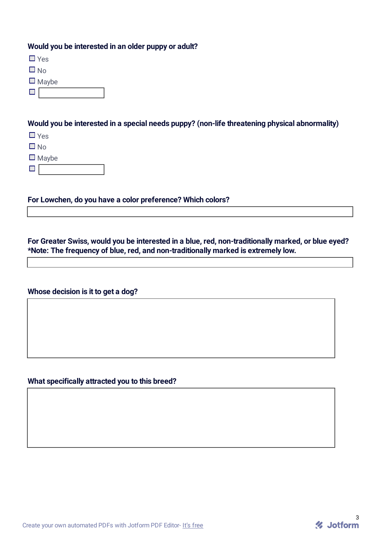#### **Would you be interested in an older puppy or adult?**

■ Yes

 $\Box$  No.

 $\square$  Maybe

 $\square$   $\lceil$ 

#### **Would you be interested in a special needs puppy? (non-life threatening physical abnormality)**

■ Yes

 $\Box$  No

 $\square$  Maybe

 $\Box$ 

**For Lowchen, do you have a color preference? Which colors?**

**For Greater Swiss, would you be interested in a blue, red, non-traditionally marked, or blue eyed? \*Note: The frequency of blue, red, and non-traditionally marked is extremely low.**

#### **Whose decision is it to get a dog?**

### **What specifically attracted you to this breed?**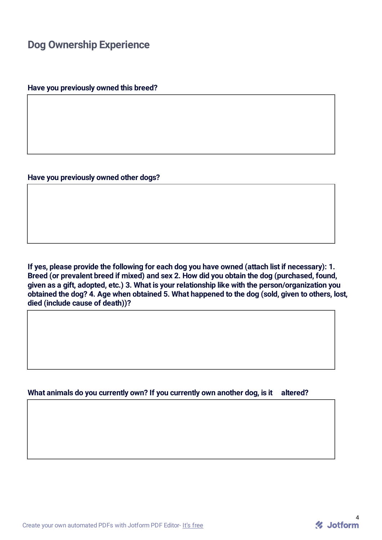# **Dog Ownership Experience**

**Have you previously owned this breed?**

**Have you previously owned other dogs?**

**If yes, please provide the following for each dog you have owned (attach list if necessary): 1. Breed (or prevalent breed if mixed) and sex 2. How did you obtain the dog (purchased, found, given as a gift, adopted, etc.) 3. What is your relationship like with the person/organization you obtained the dog? 4. Age when obtained 5. What happened to the dog (sold, given to others, lost, died (include cause of death))?**

**What animals do you currently own? If you currently own another dog, is it altered?**

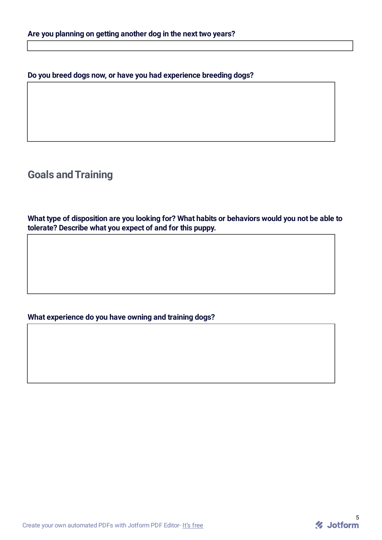**Do you breed dogs now, or have you had experience breeding dogs?**

**Goals andTraining**

**What type of disposition are you looking for? What habits or behaviors would you not be able to tolerate? Describe what you expect of and for this puppy.**

#### **What experience do you have owning and training dogs?**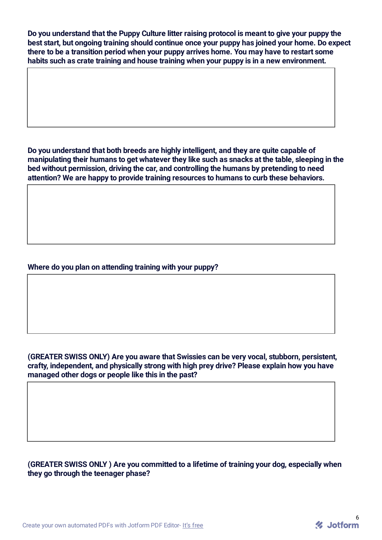**Do you understand that the Puppy Culture litter raising protocol is meant to give your puppy the best start, but ongoing training should continue once your puppy has joined your home. Do expect there to be a transition period when your puppy arrives home. You may have to restart some habits such as crate training and house training when your puppy is in a new environment.**

**Do you understand that both breeds are highly intelligent, and they are quite capable of manipulating their humans to get whatever they like such as snacks at the table, sleeping in the bed without permission, driving the car, and controlling the humans by pretending to need attention? We are happy to provide training resources to humans to curb these behaviors.**

#### **Where do you plan on attending training with your puppy?**

#### **(GREATER SWISS ONLY) Are you aware that Swissies can be very vocal, stubborn, persistent, crafty, independent, and physically strong with high prey drive? Please explain how you have managed other dogs or people like this in the past?**

#### **(GREATER SWISS ONLY ) Are you committed to a lifetime of training your dog, especially when they go through the teenager phase?**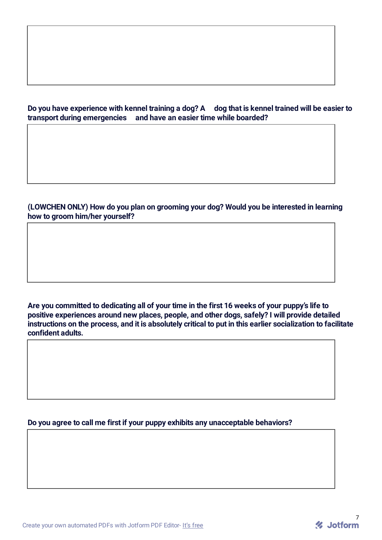#### Do you have experience with kennel training a dog? A dog that is kennel trained will be easier to **transport during emergencies and have an easier time while boarded?**

**(LOWCHEN ONLY) How do you plan on grooming your dog? Would you be interested in learning how to groom him/her yourself?**

Are you committed to dedicating all of your time in the first 16 weeks of your puppy's life to **positive experiences around new places, people, and other dogs, safely? I will provide detailed** instructions on the process, and it is absolutely critical to put in this earlier socialization to facilitate **confident adults.**

**Do you agree to call me first if your puppy exhibits any unacceptable behaviors?**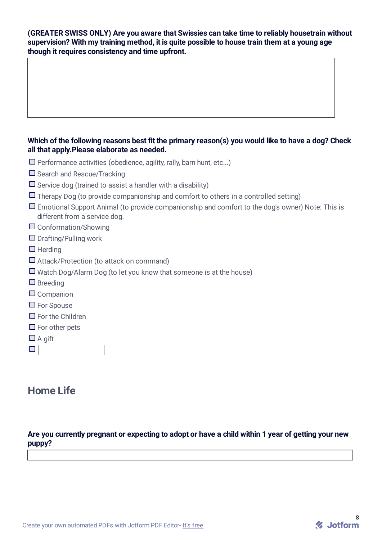#### **(GREATER SWISS ONLY) Are you aware that Swissies can take time to reliably housetrain without supervision? With my training method, it is quite possible to house train them at a young age though it requires consistency and time upfront.**

#### **Which of the following reasons best fit the primary reason(s) you would like to have a dog? Check all that apply.Please elaborate as needed.**

- $\square$  Performance activities (obedience, agility, rally, barn hunt, etc...)
- $\Box$  Search and Rescue/Tracking
- $\square$  Service dog (trained to assist a handler with a disability)
- $\Box$  Therapy Dog (to provide companionship and comfort to others in a controlled setting)
- $\Box$  Emotional Support Animal (to provide companionship and comfort to the dog's owner) Note: This is different from a service dog.
- □ Conformation/Showing
- $\Box$  Drafting/Pulling work
- $\Box$  Herding
- $\Box$  Attack/Protection (to attack on command)
- $\Box$  Watch Dog/Alarm Dog (to let you know that someone is at the house)
- $\square$  Breeding
- $\Box$  Companion
- $\Box$  For Spouse
- $\Box$  For the Children
- $\Box$  For other pets
- $\Box$  A gift

 $\Box$ 

# **Home Life**

#### Are you currently pregnant or expecting to adopt or have a child within 1 year of getting your new **puppy?**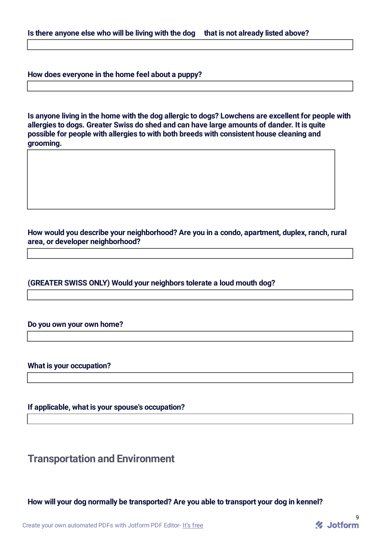**How does everyone in the home feel about a puppy?**

**Is anyone living in the home with the dog allergic to dogs? Lowchens are excellent for people with allergies to dogs. Greater Swiss do shed and can have large amounts of dander. It is quite possible for people with allergies to with both breeds with consistent house cleaning and grooming.**

**How would you describe your neighborhood? Are you in a condo, apartment, duplex, ranch, rural area, or developer neighborhood?**

**(GREATER SWISS ONLY) Would your neighbors tolerate a loud mouth dog?**

#### **Do you own your own home?**

**What is your occupation?**

**If applicable, what is your spouse's occupation?**

**Transportation and Environment**

**How will your dog normally be transported? Are you able to transport your dog in kennel?**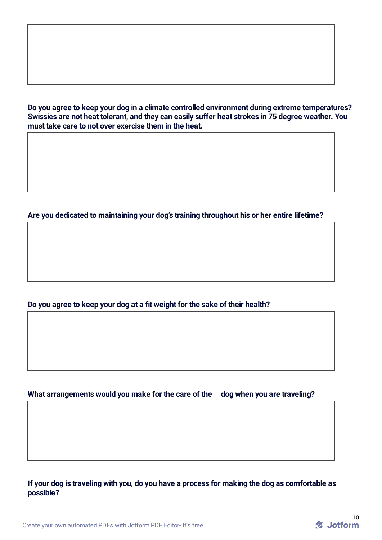**Do you agree to keep your dog in a climate controlled environment during extreme temperatures? Swissies are not heat tolerant, and they can easily suffer heat strokes in 75 degree weather. You must take care to not over exercise them in the heat.**

#### **Are you dedicated to maintaining your dog's training throughout his or her entire lifetime?**

#### **Do you agree to keep your dog at a fit weight for the sake of their health?**

#### **What arrangements would you make for the care of the dog when you are traveling?**

If your dog is traveling with you, do you have a process for making the dog as comfortable as **possible?**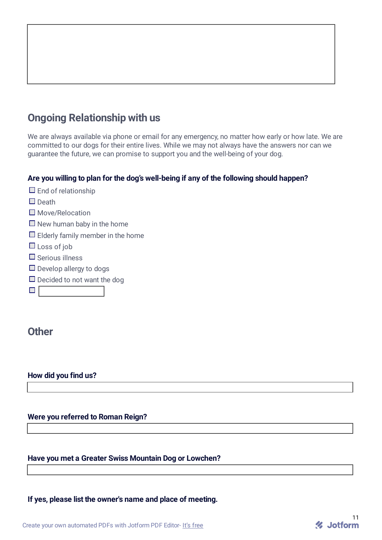

We are always available via phone or email for any emergency, no matter how early or how late. We are committed to our dogs for their entire lives. While we may not always have the answers nor can we guarantee the future, we can promise to support you and the well-being of your dog.

#### **Are you willing to plan for the dog's well-being if any of the following should happen?**

| $\Box$ End of relationship               |
|------------------------------------------|
| $\square$ Death                          |
| $\square$ Move/Relocation                |
| $\Box$ New human baby in the home        |
| $\Box$ Elderly family member in the home |
| $\Box$ Loss of job                       |
| $\Box$ Serious illness                   |
| $\Box$ Develop allergy to dogs           |
| $\Box$ Decided to not want the dog       |
|                                          |
|                                          |

### **Other**

#### **How did you find us?**

#### **Were you referred to Roman Reign?**

#### **Have you met a Greater Swiss Mountain Dog or Lowchen?**

**If yes, please list the owner's name and place of meeting.**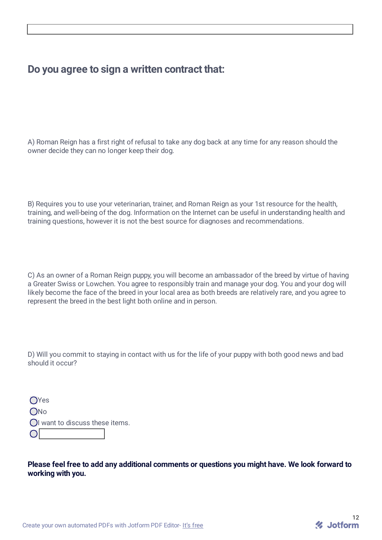## **Do you agree to sign a written contract that:**

A) Roman Reign has a first right of refusal to take any dog back at any time for any reason should the owner decide they can no longer keep their dog.

B) Requires you to use your veterinarian, trainer, and Roman Reign as your 1st resource for the health, training, and well-being of the dog. Information on the Internet can be useful in understanding health and training questions, however it is not the best source for diagnoses and recommendations.

C) As an owner of a Roman Reign puppy, you will become an ambassador of the breed by virtue of having a Greater Swiss or Lowchen. You agree to responsibly train and manage your dog. You and your dog will likely become the face of the breed in your local area as both breeds are relatively rare, and you agree to represent the breed in the best light both online and in person.

D) Will you commit to staying in contact with us for the life of your puppy with both good news and bad should it occur?

| $\bigcirc$ Yes                  |
|---------------------------------|
| ONo                             |
| OI want to discuss these items. |
| $\overline{\bigcirc}$           |

**Please feel free to add any additional comments or questions you might have. We look forward to working with you.**